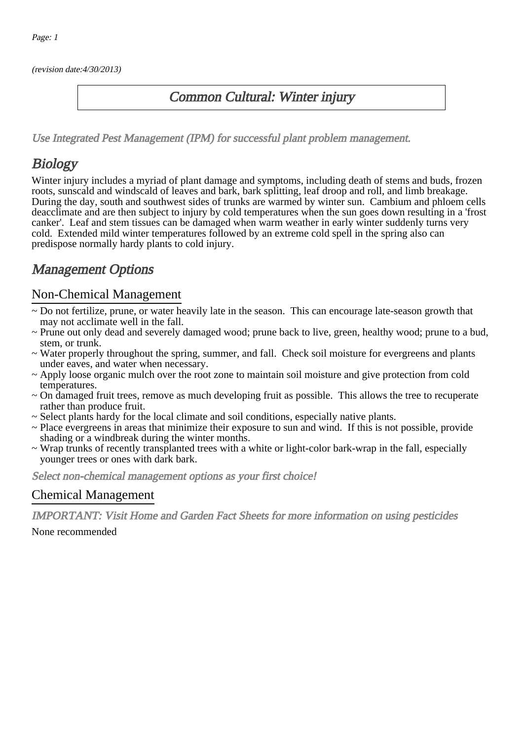(revision date:4/30/2013)

### Common Cultural: Winter injury

[Use Integrated Pest Management \(IPM\) for successful plant problem management.](http://pep.wsu.edu/Home_Garden/H_G_Pesticide_info/urban_Integrated_Pest_Managmen/)

## **Biology**

Winter injury includes a myriad of plant damage and symptoms, including death of stems and buds, frozen roots, sunscald and windscald of leaves and bark, bark splitting, leaf droop and roll, and limb breakage. During the day, south and southwest sides of trunks are warmed by winter sun. Cambium and phloem cells deacclimate and are then subject to injury by cold temperatures when the sun goes down resulting in a 'frost canker'. Leaf and stem tissues can be damaged when warm weather in early winter suddenly turns very cold. Extended mild winter temperatures followed by an extreme cold spell in the spring also can predispose normally hardy plants to cold injury.

## Management Options

#### Non-Chemical Management

- ~ Do not fertilize, prune, or water heavily late in the season. This can encourage late-season growth that may not acclimate well in the fall.
- ~ Prune out only dead and severely damaged wood; prune back to live, green, healthy wood; prune to a bud, stem, or trunk.
- ~ Water properly throughout the spring, summer, and fall. Check soil moisture for evergreens and plants under eaves, and water when necessary.
- ~ Apply loose organic mulch over the root zone to maintain soil moisture and give protection from cold temperatures.
- ~ On damaged fruit trees, remove as much developing fruit as possible. This allows the tree to recuperate rather than produce fruit.
- ~ Select plants hardy for the local climate and soil conditions, especially native plants.
- ~ Place evergreens in areas that minimize their exposure to sun and wind. If this is not possible, provide shading or a windbreak during the winter months.
- ~ Wrap trunks of recently transplanted trees with a white or light-color bark-wrap in the fall, especially younger trees or ones with dark bark.

Select non-chemical management options as your first choice!

#### Chemical Management

IMPORTANT: [Visit Home and Garden Fact Sheets for more information on using pesticides](http://pep.wsu.edu/Home_Garden/H_G_Pesticide_info/)

None recommended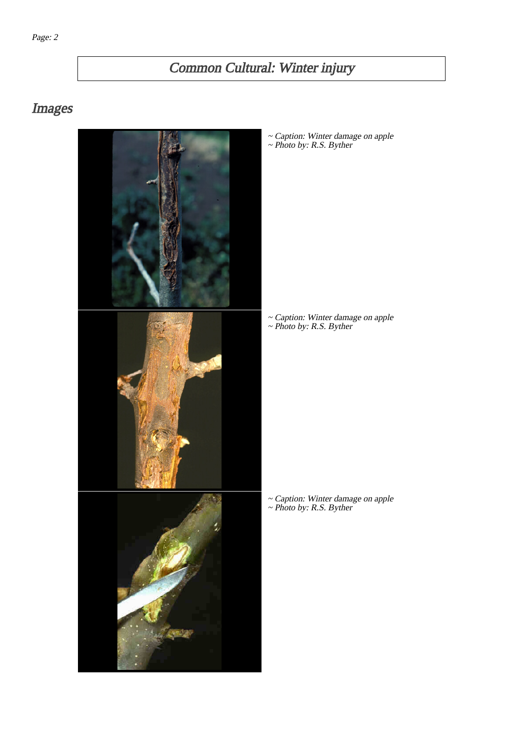# Common Cultural: Winter injury

## Images



~ Caption: Winter damage on apple ~ Photo by: R.S. Byther

~ Caption: Winter damage on apple ~ Photo by: R.S. Byther

~ Caption: Winter damage on apple ~ Photo by: R.S. Byther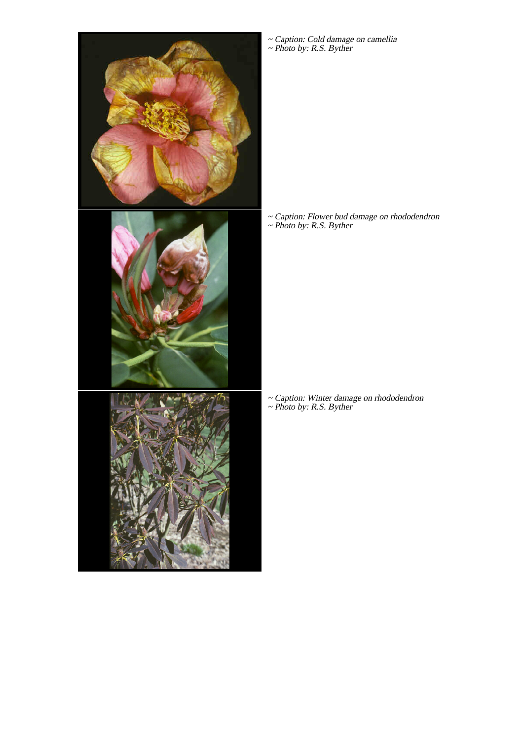

~ Caption: Cold damage on camellia ~ Photo by: R.S. Byther

~ Caption: Flower bud damage on rhododendron ~ Photo by: R.S. Byther

~ Caption: Winter damage on rhododendron ~ Photo by: R.S. Byther